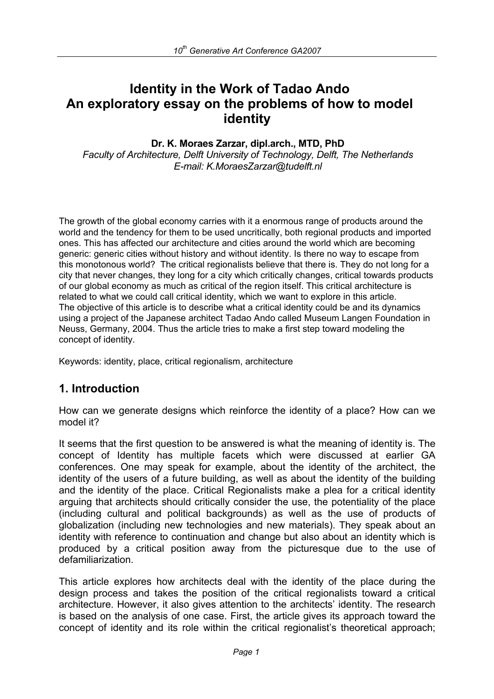# **Identity in the Work of Tadao Ando An exploratory essay on the problems of how to model identity**

#### **Dr. K. Moraes Zarzar, dipl.arch., MTD, PhD**

*Faculty of Architecture, Delft University of Technology, Delft, The Netherlands E-mail: K.MoraesZarzar@tudelft.nl* 

The growth of the global economy carries with it a enormous range of products around the world and the tendency for them to be used uncritically, both regional products and imported ones. This has affected our architecture and cities around the world which are becoming generic: generic cities without history and without identity. Is there no way to escape from this monotonous world? The critical regionalists believe that there is. They do not long for a city that never changes, they long for a city which critically changes, critical towards products of our global economy as much as critical of the region itself. This critical architecture is related to what we could call critical identity, which we want to explore in this article. The objective of this article is to describe what a critical identity could be and its dynamics using a project of the Japanese architect Tadao Ando called Museum Langen Foundation in Neuss, Germany, 2004. Thus the article tries to make a first step toward modeling the concept of identity.

Keywords: identity, place, critical regionalism, architecture

### **1. Introduction**

How can we generate designs which reinforce the identity of a place? How can we model it?

It seems that the first question to be answered is what the meaning of identity is. The concept of Identity has multiple facets which were discussed at earlier GA conferences. One may speak for example, about the identity of the architect, the identity of the users of a future building, as well as about the identity of the building and the identity of the place. Critical Regionalists make a plea for a critical identity arguing that architects should critically consider the use, the potentiality of the place (including cultural and political backgrounds) as well as the use of products of globalization (including new technologies and new materials). They speak about an identity with reference to continuation and change but also about an identity which is produced by a critical position away from the picturesque due to the use of defamiliarization.

This article explores how architects deal with the identity of the place during the design process and takes the position of the critical regionalists toward a critical architecture. However, it also gives attention to the architects' identity. The research is based on the analysis of one case. First, the article gives its approach toward the concept of identity and its role within the critical regionalist's theoretical approach;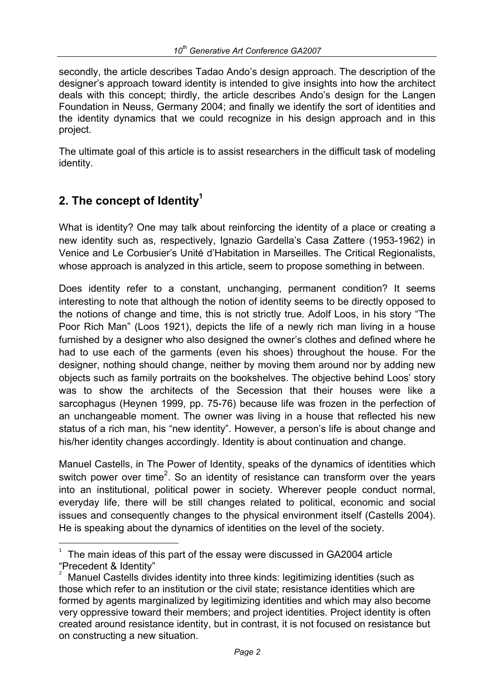secondly, the article describes Tadao Ando's design approach. The description of the designer's approach toward identity is intended to give insights into how the architect deals with this concept; thirdly, the article describes Ando's design for the Langen Foundation in Neuss, Germany 2004; and finally we identify the sort of identities and the identity dynamics that we could recognize in his design approach and in this project.

The ultimate goal of this article is to assist researchers in the difficult task of modeling identity.

# **2. The concept of Identity1**

e<br>S

What is identity? One may talk about reinforcing the identity of a place or creating a new identity such as, respectively, Ignazio Gardella's Casa Zattere (1953-1962) in Venice and Le Corbusier's Unité d'Habitation in Marseilles. The Critical Regionalists, whose approach is analyzed in this article, seem to propose something in between.

Does identity refer to a constant, unchanging, permanent condition? It seems interesting to note that although the notion of identity seems to be directly opposed to the notions of change and time, this is not strictly true. Adolf Loos, in his story "The Poor Rich Man" (Loos 1921), depicts the life of a newly rich man living in a house furnished by a designer who also designed the owner's clothes and defined where he had to use each of the garments (even his shoes) throughout the house. For the designer, nothing should change, neither by moving them around nor by adding new objects such as family portraits on the bookshelves. The objective behind Loos' story was to show the architects of the Secession that their houses were like a sarcophagus (Heynen 1999, pp. 75-76) because life was frozen in the perfection of an unchangeable moment. The owner was living in a house that reflected his new status of a rich man, his "new identity". However, a person's life is about change and his/her identity changes accordingly. Identity is about continuation and change.

Manuel Castells, in The Power of Identity, speaks of the dynamics of identities which switch power over time<sup>2</sup>. So an identity of resistance can transform over the years into an institutional, political power in society. Wherever people conduct normal, everyday life, there will be still changes related to political, economic and social issues and consequently changes to the physical environment itself (Castells 2004). He is speaking about the dynamics of identities on the level of the society.

<sup>1</sup> The main ideas of this part of the essay were discussed in GA2004 article "Precedent & Identity"

<sup>2</sup> Manuel Castells divides identity into three kinds: legitimizing identities (such as those which refer to an institution or the civil state; resistance identities which are formed by agents marginalized by legitimizing identities and which may also become very oppressive toward their members; and project identities. Project identity is often created around resistance identity, but in contrast, it is not focused on resistance but on constructing a new situation.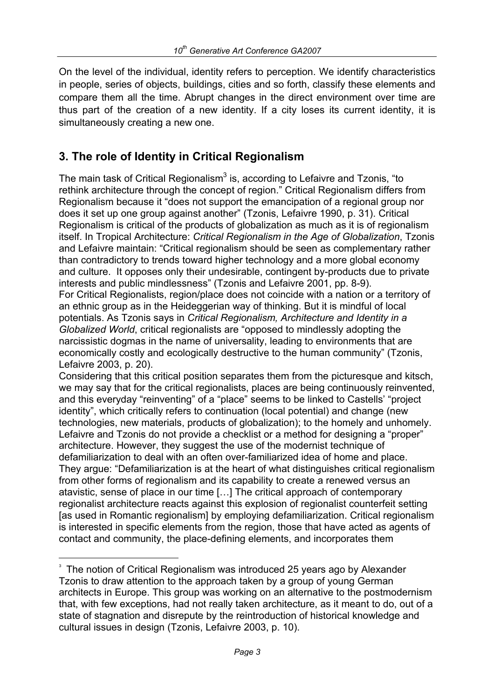On the level of the individual, identity refers to perception. We identify characteristics in people, series of objects, buildings, cities and so forth, classify these elements and compare them all the time. Abrupt changes in the direct environment over time are thus part of the creation of a new identity. If a city loses its current identity, it is simultaneously creating a new one.

## **3. The role of Identity in Critical Regionalism**

The main task of Critical Regionalism $^3$  is, according to Lefaivre and Tzonis, "to rethink architecture through the concept of region." Critical Regionalism differs from Regionalism because it "does not support the emancipation of a regional group nor does it set up one group against another" (Tzonis, Lefaivre 1990, p. 31). Critical Regionalism is critical of the products of globalization as much as it is of regionalism itself. In Tropical Architecture: *Critical Regionalism in the Age of Globalization*, Tzonis and Lefaivre maintain: "Critical regionalism should be seen as complementary rather than contradictory to trends toward higher technology and a more global economy and culture. It opposes only their undesirable, contingent by-products due to private interests and public mindlessness" (Tzonis and Lefaivre 2001, pp. 8-9). For Critical Regionalists, region/place does not coincide with a nation or a territory of

an ethnic group as in the Heideggerian way of thinking. But it is mindful of local potentials. As Tzonis says in *Critical Regionalism, Architecture and Identity in a Globalized World*, critical regionalists are "opposed to mindlessly adopting the narcissistic dogmas in the name of universality, leading to environments that are economically costly and ecologically destructive to the human community" (Tzonis, Lefaivre 2003, p. 20).

Considering that this critical position separates them from the picturesque and kitsch, we may say that for the critical regionalists, places are being continuously reinvented, and this everyday "reinventing" of a "place" seems to be linked to Castells' "project identity", which critically refers to continuation (local potential) and change (new technologies, new materials, products of globalization); to the homely and unhomely. Lefaivre and Tzonis do not provide a checklist or a method for designing a "proper" architecture. However, they suggest the use of the modernist technique of defamiliarization to deal with an often over-familiarized idea of home and place. They argue: "Defamiliarization is at the heart of what distinguishes critical regionalism from other forms of regionalism and its capability to create a renewed versus an atavistic, sense of place in our time […] The critical approach of contemporary regionalist architecture reacts against this explosion of regionalist counterfeit setting [as used in Romantic regionalism] by employing defamiliarization. Critical regionalism is interested in specific elements from the region, those that have acted as agents of contact and community, the place-defining elements, and incorporates them

i

<sup>&</sup>lt;sup>3</sup> The notion of Critical Regionalism was introduced 25 years ago by Alexander Tzonis to draw attention to the approach taken by a group of young German architects in Europe. This group was working on an alternative to the postmodernism that, with few exceptions, had not really taken architecture, as it meant to do, out of a state of stagnation and disrepute by the reintroduction of historical knowledge and cultural issues in design (Tzonis, Lefaivre 2003, p. 10).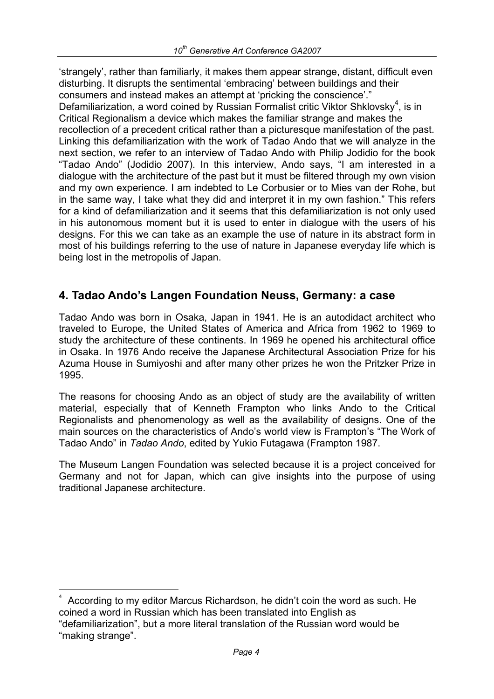'strangely', rather than familiarly, it makes them appear strange, distant, difficult even disturbing. It disrupts the sentimental 'embracing' between buildings and their consumers and instead makes an attempt at 'pricking the conscience'."

Defamiliarization, a word coined by Russian Formalist critic Viktor Shklovsky<sup>4</sup>, is in Critical Regionalism a device which makes the familiar strange and makes the recollection of a precedent critical rather than a picturesque manifestation of the past. Linking this defamiliarization with the work of Tadao Ando that we will analyze in the next section, we refer to an interview of Tadao Ando with Philip Jodidio for the book "Tadao Ando" (Jodidio 2007). In this interview, Ando says, "I am interested in a dialogue with the architecture of the past but it must be filtered through my own vision and my own experience. I am indebted to Le Corbusier or to Mies van der Rohe, but in the same way, I take what they did and interpret it in my own fashion." This refers for a kind of defamiliarization and it seems that this defamiliarization is not only used in his autonomous moment but it is used to enter in dialogue with the users of his designs. For this we can take as an example the use of nature in its abstract form in most of his buildings referring to the use of nature in Japanese everyday life which is being lost in the metropolis of Japan.

## **4. Tadao Ando's Langen Foundation Neuss, Germany: a case**

Tadao Ando was born in Osaka, Japan in 1941. He is an autodidact architect who traveled to Europe, the United States of America and Africa from 1962 to 1969 to study the architecture of these continents. In 1969 he opened his architectural office in Osaka. In 1976 Ando receive the Japanese Architectural Association Prize for his Azuma House in Sumiyoshi and after many other prizes he won the Pritzker Prize in 1995.

The reasons for choosing Ando as an object of study are the availability of written material, especially that of Kenneth Frampton who links Ando to the Critical Regionalists and phenomenology as well as the availability of designs. One of the main sources on the characteristics of Ando's world view is Frampton's "The Work of Tadao Ando" in *Tadao Ando*, edited by Yukio Futagawa (Frampton 1987.

The Museum Langen Foundation was selected because it is a project conceived for Germany and not for Japan, which can give insights into the purpose of using traditional Japanese architecture.

i

<sup>4</sup> According to my editor Marcus Richardson, he didn't coin the word as such. He coined a word in Russian which has been translated into English as "defamiliarization", but a more literal translation of the Russian word would be "making strange".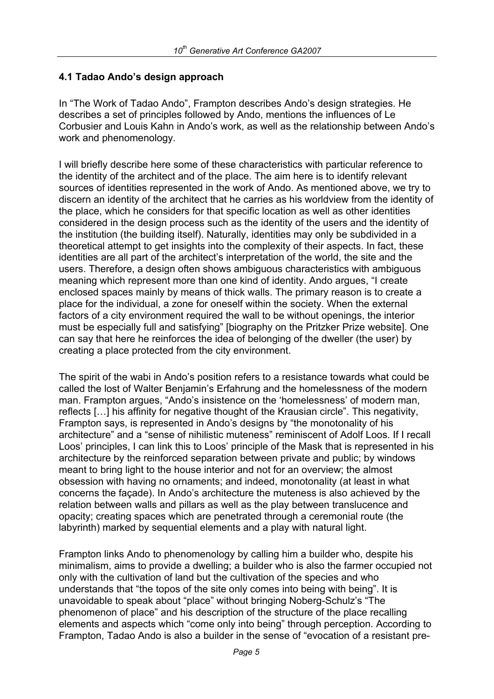#### **4.1 Tadao Ando's design approach**

In "The Work of Tadao Ando", Frampton describes Ando's design strategies. He describes a set of principles followed by Ando, mentions the influences of Le Corbusier and Louis Kahn in Ando's work, as well as the relationship between Ando's work and phenomenology.

I will briefly describe here some of these characteristics with particular reference to the identity of the architect and of the place. The aim here is to identify relevant sources of identities represented in the work of Ando. As mentioned above, we try to discern an identity of the architect that he carries as his worldview from the identity of the place, which he considers for that specific location as well as other identities considered in the design process such as the identity of the users and the identity of the institution (the building itself). Naturally, identities may only be subdivided in a theoretical attempt to get insights into the complexity of their aspects. In fact, these identities are all part of the architect's interpretation of the world, the site and the users. Therefore, a design often shows ambiguous characteristics with ambiguous meaning which represent more than one kind of identity. Ando argues, "I create enclosed spaces mainly by means of thick walls. The primary reason is to create a place for the individual, a zone for oneself within the society. When the external factors of a city environment required the wall to be without openings, the interior must be especially full and satisfying" [biography on the Pritzker Prize website]. One can say that here he reinforces the idea of belonging of the dweller (the user) by creating a place protected from the city environment.

The spirit of the wabi in Ando's position refers to a resistance towards what could be called the lost of Walter Benjamin's Erfahrung and the homelessness of the modern man. Frampton argues, "Ando's insistence on the 'homelessness' of modern man, reflects […] his affinity for negative thought of the Krausian circle". This negativity, Frampton says, is represented in Ando's designs by "the monotonality of his architecture" and a "sense of nihilistic muteness" reminiscent of Adolf Loos. If I recall Loos' principles, I can link this to Loos' principle of the Mask that is represented in his architecture by the reinforced separation between private and public; by windows meant to bring light to the house interior and not for an overview; the almost obsession with having no ornaments; and indeed, monotonality (at least in what concerns the façade). In Ando's architecture the muteness is also achieved by the relation between walls and pillars as well as the play between translucence and opacity; creating spaces which are penetrated through a ceremonial route (the labyrinth) marked by sequential elements and a play with natural light.

Frampton links Ando to phenomenology by calling him a builder who, despite his minimalism, aims to provide a dwelling; a builder who is also the farmer occupied not only with the cultivation of land but the cultivation of the species and who understands that "the topos of the site only comes into being with being". It is unavoidable to speak about "place" without bringing Noberg-Schulz's "The phenomenon of place" and his description of the structure of the place recalling elements and aspects which "come only into being" through perception. According to Frampton, Tadao Ando is also a builder in the sense of "evocation of a resistant pre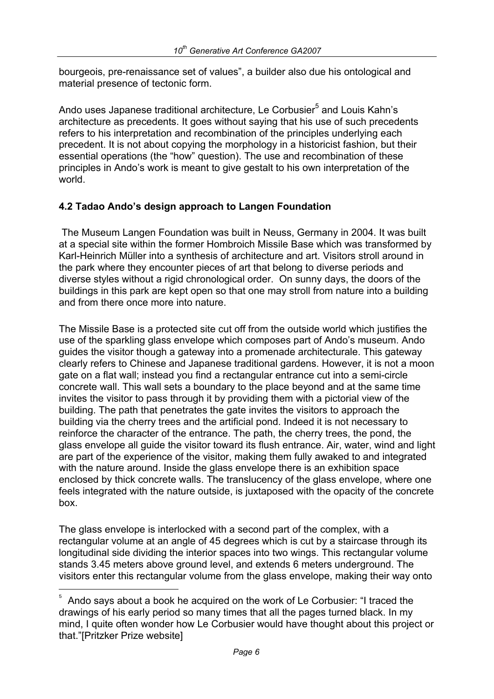bourgeois, pre-renaissance set of values", a builder also due his ontological and material presence of tectonic form.

Ando uses Japanese traditional architecture, Le Corbusier<sup>5</sup> and Louis Kahn's architecture as precedents. It goes without saying that his use of such precedents refers to his interpretation and recombination of the principles underlying each precedent. It is not about copying the morphology in a historicist fashion, but their essential operations (the "how" question). The use and recombination of these principles in Ando's work is meant to give gestalt to his own interpretation of the world.

#### **4.2 Tadao Ando's design approach to Langen Foundation**

 The Museum Langen Foundation was built in Neuss, Germany in 2004. It was built at a special site within the former Hombroich Missile Base which was transformed by Karl-Heinrich Müller into a synthesis of architecture and art. Visitors stroll around in the park where they encounter pieces of art that belong to diverse periods and diverse styles without a rigid chronological order. On sunny days, the doors of the buildings in this park are kept open so that one may stroll from nature into a building and from there once more into nature.

The Missile Base is a protected site cut off from the outside world which justifies the use of the sparkling glass envelope which composes part of Ando's museum. Ando guides the visitor though a gateway into a promenade architecturale. This gateway clearly refers to Chinese and Japanese traditional gardens. However, it is not a moon gate on a flat wall; instead you find a rectangular entrance cut into a semi-circle concrete wall. This wall sets a boundary to the place beyond and at the same time invites the visitor to pass through it by providing them with a pictorial view of the building. The path that penetrates the gate invites the visitors to approach the building via the cherry trees and the artificial pond. Indeed it is not necessary to reinforce the character of the entrance. The path, the cherry trees, the pond, the glass envelope all guide the visitor toward its flush entrance. Air, water, wind and light are part of the experience of the visitor, making them fully awaked to and integrated with the nature around. Inside the glass envelope there is an exhibition space enclosed by thick concrete walls. The translucency of the glass envelope, where one feels integrated with the nature outside, is juxtaposed with the opacity of the concrete box.

The glass envelope is interlocked with a second part of the complex, with a rectangular volume at an angle of 45 degrees which is cut by a staircase through its longitudinal side dividing the interior spaces into two wings. This rectangular volume stands 3.45 meters above ground level, and extends 6 meters underground. The visitors enter this rectangular volume from the glass envelope, making their way onto

i

<sup>5</sup> Ando says about a book he acquired on the work of Le Corbusier: "I traced the drawings of his early period so many times that all the pages turned black. In my mind, I quite often wonder how Le Corbusier would have thought about this project or that."[Pritzker Prize website]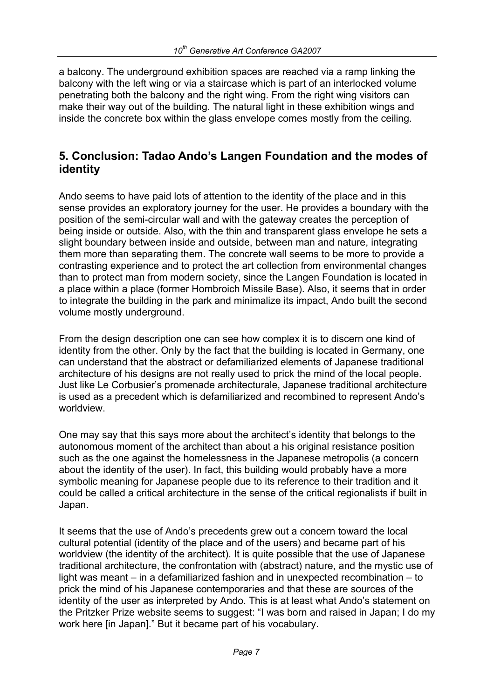a balcony. The underground exhibition spaces are reached via a ramp linking the balcony with the left wing or via a staircase which is part of an interlocked volume penetrating both the balcony and the right wing. From the right wing visitors can make their way out of the building. The natural light in these exhibition wings and inside the concrete box within the glass envelope comes mostly from the ceiling.

## **5. Conclusion: Tadao Ando's Langen Foundation and the modes of identity**

Ando seems to have paid lots of attention to the identity of the place and in this sense provides an exploratory journey for the user. He provides a boundary with the position of the semi-circular wall and with the gateway creates the perception of being inside or outside. Also, with the thin and transparent glass envelope he sets a slight boundary between inside and outside, between man and nature, integrating them more than separating them. The concrete wall seems to be more to provide a contrasting experience and to protect the art collection from environmental changes than to protect man from modern society, since the Langen Foundation is located in a place within a place (former Hombroich Missile Base). Also, it seems that in order to integrate the building in the park and minimalize its impact, Ando built the second volume mostly underground.

From the design description one can see how complex it is to discern one kind of identity from the other. Only by the fact that the building is located in Germany, one can understand that the abstract or defamiliarized elements of Japanese traditional architecture of his designs are not really used to prick the mind of the local people. Just like Le Corbusier's promenade architecturale, Japanese traditional architecture is used as a precedent which is defamiliarized and recombined to represent Ando's worldview.

One may say that this says more about the architect's identity that belongs to the autonomous moment of the architect than about a his original resistance position such as the one against the homelessness in the Japanese metropolis (a concern about the identity of the user). In fact, this building would probably have a more symbolic meaning for Japanese people due to its reference to their tradition and it could be called a critical architecture in the sense of the critical regionalists if built in Japan.

It seems that the use of Ando's precedents grew out a concern toward the local cultural potential (identity of the place and of the users) and became part of his worldview (the identity of the architect). It is quite possible that the use of Japanese traditional architecture, the confrontation with (abstract) nature, and the mystic use of light was meant – in a defamiliarized fashion and in unexpected recombination – to prick the mind of his Japanese contemporaries and that these are sources of the identity of the user as interpreted by Ando. This is at least what Ando's statement on the Pritzker Prize website seems to suggest: "I was born and raised in Japan; I do my work here [in Japan]." But it became part of his vocabulary.